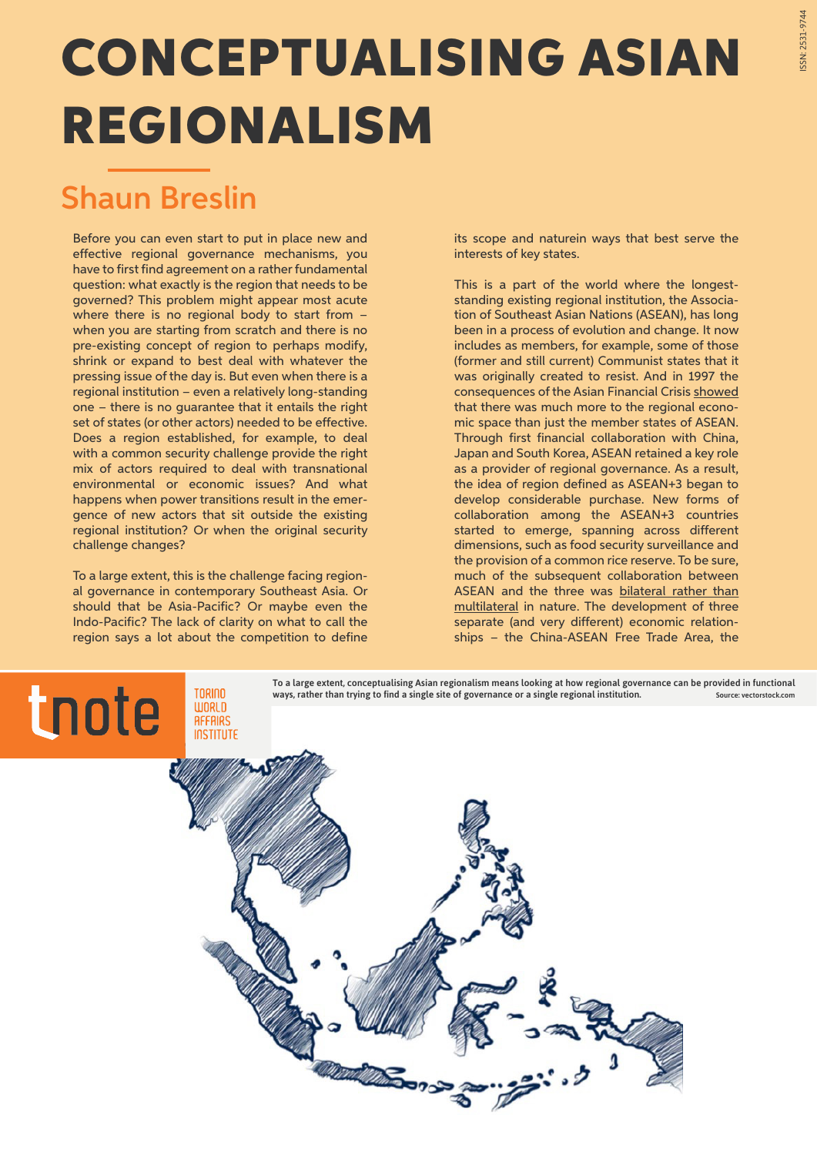## CONCEPTUALISING ASIAN REGIONALISM

## Shaun Breslin

Before you can even start to put in place new and effective regional governance mechanisms, you have to first find agreement on a rather fundamental question: what exactly is the region that needs to be governed? This problem might appear most acute where there is no regional body to start from – when you are starting from scratch and there is no pre-existing concept of region to perhaps modify, shrink or expand to best deal with whatever the pressing issue of the day is. But even when there is a regional institution – even a relatively long-standing one – there is no guarantee that it entails the right set of states (or other actors) needed to be effective. Does a region established, for example, to deal with a common security challenge provide the right mix of actors required to deal with transnational environmental or economic issues? And what happens when power transitions result in the emergence of new actors that sit outside the existing regional institution? Or when the original security challenge changes?

To a large extent, this is the challenge facing regional governance in contemporary Southeast Asia. Or should that be Asia-Pacific? Or maybe even the Indo-Pacific? The lack of clarity on what to call the region says a lot about the competition to define

its scope and naturein ways that best serve the interests of key states.

This is a part of the world where the longeststanding existing regional institution, the Association of Southeast Asian Nations (ASEAN), has long been in a process of evolution and change. It now includes as members, for example, some of those (former and still current) Communist states that it was originally created to resist. And in 1997 the consequences of the Asian Financial Crisis [showed](https://www.tandfonline.com/doi/abs/10.1080/09512749908719305)  that there was much more to the regional economic space than just the member states of ASEAN. Through first financial collaboration with China, Japan and South Korea, ASEAN retained a key role as a provider of regional governance. As a result, the idea of region defined as ASEAN+3 began to develop considerable purchase. New forms of collaboration among the ASEAN+3 countries started to emerge, spanning across different dimensions, such as food security surveillance and the provision of a common rice reserve. To be sure, much of the subsequent collaboration between ASEAN and the three was [bilateral rather than](https://www.tandfonline.com/doi/abs/10.1080/0951274032000085644) [multilateral](https://www.tandfonline.com/doi/abs/10.1080/0951274032000085644) in nature. The development of three separate (and very different) economic relationships – the China-ASEAN Free Trade Area, the